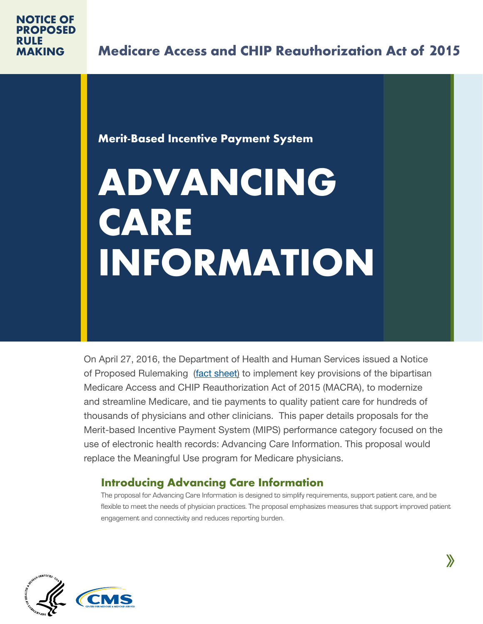## **Merit-Based Incentive Payment System**

# **ADVANCING CARE INFORMATION**

On April 27, 2016, the Department of Health and Human Services issued a Notice of Proposed Rulemaking [\(fact sheet\)](https://www.cms.gov/Medicare/Quality-Initiatives-Patient-Assessment-Instruments/Value-Based-Programs/MACRA-MIPS-and-APMs/NPRM-QPP-Fact-Sheet.pdf) to implement key provisions of the bipartisan Medicare Access and CHIP Reauthorization Act of 2015 (MACRA), to modernize and streamline Medicare, and tie payments to quality patient care for hundreds of thousands of physicians and other clinicians. This paper details proposals for the Merit-based Incentive Payment System (MIPS) performance category focused on the use of electronic health records: Advancing Care Information. This proposal would replace the Meaningful Use program for Medicare physicians.

# **Introducing Advancing Care Information**

The proposal for Advancing Care Information is designed to simplify requirements, support patient care, and be flexible to meet the needs of physician practices. The proposal emphasizes measures that support improved patient engagement and connectivity and reduces reporting burden.

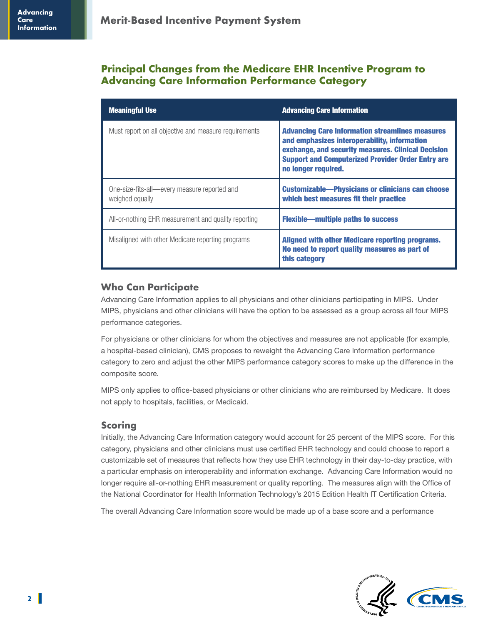## **Principal Changes from the Medicare EHR Incentive Program to Advancing Care Information Performance Category**

| <b>Meaningful Use</b>                                           | <b>Advancing Care Information</b>                                                                                                                                                                                                               |
|-----------------------------------------------------------------|-------------------------------------------------------------------------------------------------------------------------------------------------------------------------------------------------------------------------------------------------|
| Must report on all objective and measure requirements           | <b>Advancing Care Information streamlines measures</b><br>and emphasizes interoperability, information<br>exchange, and security measures. Clinical Decision<br><b>Support and Computerized Provider Order Entry are</b><br>no longer required. |
| One-size-fits-all-every measure reported and<br>weighed equally | <b>Customizable—Physicians or clinicians can choose</b><br>which best measures fit their practice                                                                                                                                               |
| All-or-nothing EHR measurement and quality reporting            | <b>Flexible—multiple paths to success</b>                                                                                                                                                                                                       |
| Misaligned with other Medicare reporting programs               | Aligned with other Medicare reporting programs.<br>No need to report quality measures as part of<br>this category                                                                                                                               |

## **Who Can Participate**

Advancing Care Information applies to all physicians and other clinicians participating in MIPS. Under MIPS, physicians and other clinicians will have the option to be assessed as a group across all four MIPS performance categories.

For physicians or other clinicians for whom the objectives and measures are not applicable (for example, a hospital-based clinician), CMS proposes to reweight the Advancing Care Information performance category to zero and adjust the other MIPS performance category scores to make up the difference in the composite score.

MIPS only applies to office-based physicians or other clinicians who are reimbursed by Medicare. It does not apply to hospitals, facilities, or Medicaid.

## **Scoring**

Initially, the Advancing Care Information category would account for 25 percent of the MIPS score. For this category, physicians and other clinicians must use certified EHR technology and could choose to report a customizable set of measures that reflects how they use EHR technology in their day-to-day practice, with a particular emphasis on interoperability and information exchange. Advancing Care Information would no longer require all-or-nothing EHR measurement or quality reporting. The measures align with the Office of the National Coordinator for Health Information Technology's 2015 Edition Health IT Certification Criteria.

The overall Advancing Care Information score would be made up of a base score and a performance

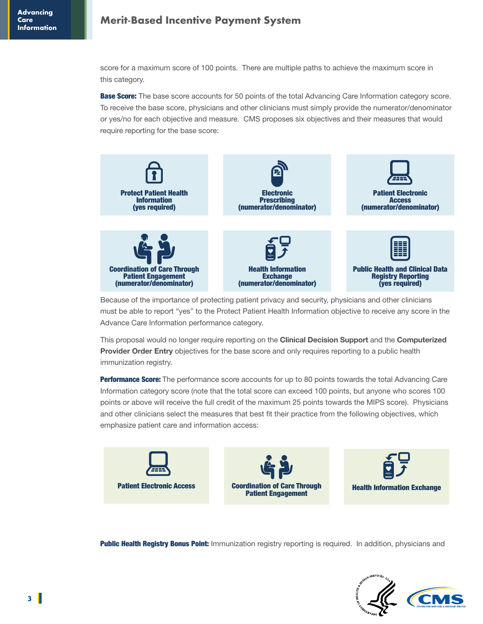# **Merit-Based Incentive Payment System Advancing**

score for a maximum score of 100 points. There are multiple paths to achieve the maximum score in this category.

**Base Score:** The base score accounts for 50 points of the total Advancing Care Information category score. To receive the base score, physicians and other clinicians must simply provide the numerator/denominator or yes/no for each objective and measure. CMS proposes six objectives and their measures that would require reporting for the base score:



Because of the importance of protecting patient privacy and security, physicians and other clinicians must be able to report "yes" to the Protect Patient Health Information objective to receive any score in the Advance Care Information performance category.

This proposal would no longer require reporting on the **Clinical Decision Support** and the **Computerized Provider Order Entry** objectives for the base score and only requires reporting to a public health immunization registry.

**Performance Score:** The performance score accounts for up to 80 points towards the total Advancing Care Information category score (note that the total score can exceed 100 points, but anyone who scores 100 points or above will receive the full credit of the maximum 25 points towards the MIPS score). Physicians and other clinicians select the measures that best fit their practice from the following objectives, which emphasize patient care and information access:



**Public Health Registry Bonus Point:** Immunization registry reporting is required. In addition, physicians and

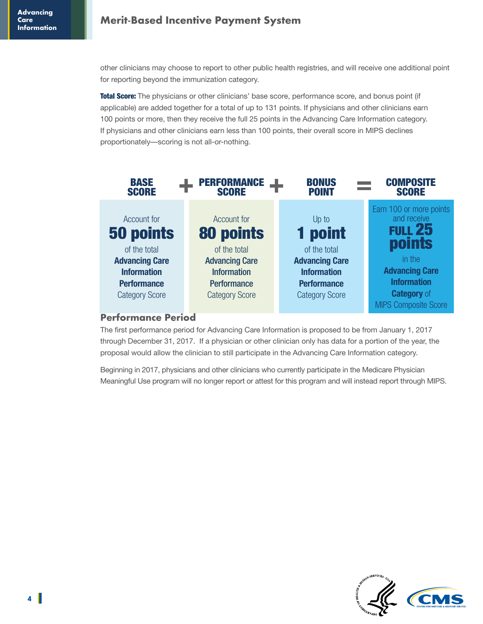other clinicians may choose to report to other public health registries, and will receive one additional point for reporting beyond the immunization category.

Total Score: The physicians or other clinicians' base score, performance score, and bonus point (if applicable) are added together for a total of up to 131 points. If physicians and other clinicians earn 100 points or more, then they receive the full 25 points in the Advancing Care Information category. If physicians and other clinicians earn less than 100 points, their overall score in MIPS declines proportionately—scoring is not all-or-nothing.



#### **Performance Period**

The first performance period for Advancing Care Information is proposed to be from January 1, 2017 through December 31, 2017. If a physician or other clinician only has data for a portion of the year, the proposal would allow the clinician to still participate in the Advancing Care Information category.

Beginning in 2017, physicians and other clinicians who currently participate in the Medicare Physician Meaningful Use program will no longer report or attest for this program and will instead report through MIPS.

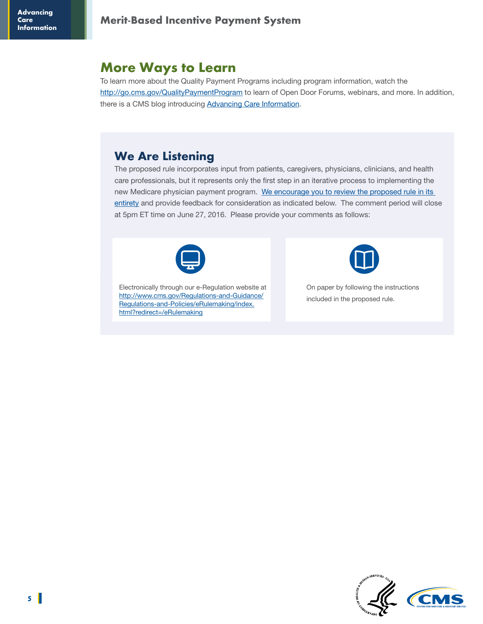# **More Ways to Learn**

To learn more about the Quality Payment Programs including program information, watch the <http://go.cms.gov/QualityPaymentProgram> to learn of Open Door Forums, webinars, and more. In addition, there is a CMS blog introducing [Advancing Care Information.](https://blog.cms.gov/2016/04/27/moving-toward-improved-care-through-information/)

## **We Are Listening**

The proposed rule incorporates input from patients, caregivers, physicians, clinicians, and health care professionals, but it represents only the first step in an iterative process to implementing the new Medicare physician payment program. We encourage you to review the proposed rule in its [entirety](https://s3.amazonaws.com/public-inspection.federalregister.gov/2016-10032.pdf) and provide feedback for consideration as indicated below. The comment period will close at 5pm ET time on June 27, 2016. Please provide your comments as follows:



Electronically through our e-Regulation website at [http://www.cms.gov/Regulations-and-Guidance/](http://www.cms.gov/Regulations-and-Guidance/Regulations-and-Policies/eRulemaking/index.html?redirect=/eRulemaking) [Regulations-and-Policies/eRulemaking/index.](http://www.cms.gov/Regulations-and-Guidance/Regulations-and-Policies/eRulemaking/index.html?redirect=/eRulemaking) [html?redirect=/eRulemaking](http://www.cms.gov/Regulations-and-Guidance/Regulations-and-Policies/eRulemaking/index.html?redirect=/eRulemaking)



On paper by following the instructions included in the proposed rule.